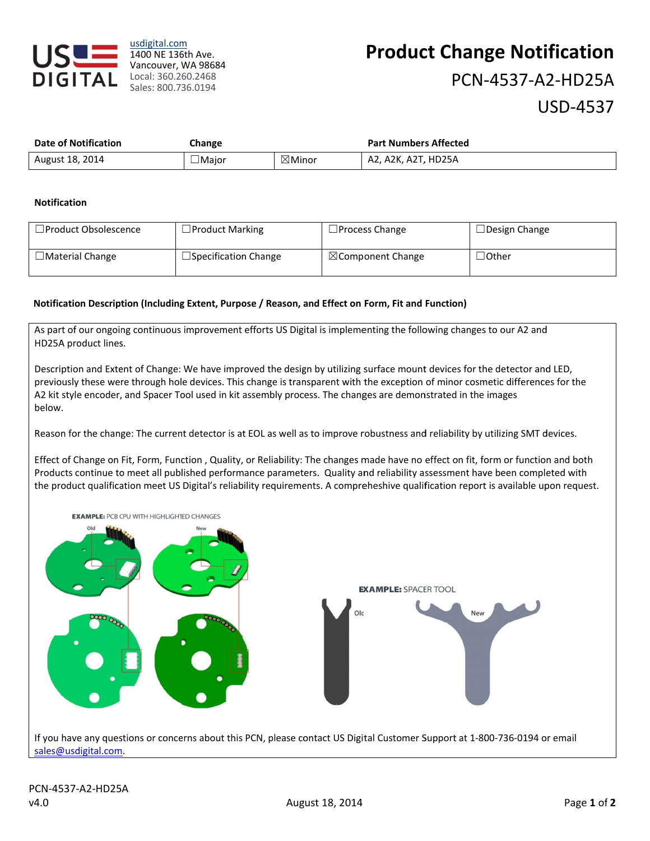

usdigital.com 1400 NE 136th Ave. Vancouver, WA 98684 Sales: 800.736.0194

# **Product Change Notification** PCN-4537-A2-HD25A **USD-4537**

| <b>Date of Notification</b> | Change |                   | <b>Part Numbers Affected</b> |
|-----------------------------|--------|-------------------|------------------------------|
| August 18, 2014             | ∟Major | $\boxtimes$ Minor | A2, A2K, A2T, HD25A          |

#### **Notification**

| $\Box$ Product Obsolescence | $\Box$ Product Marking      | $\Box$ Process Change        | $\Box$ Design Change                |
|-----------------------------|-----------------------------|------------------------------|-------------------------------------|
| $\Box$ Material Change      | $\Box$ Specification Change | $\boxtimes$ Component Change | $\operatorname{\neg\mathsf{Other}}$ |

#### Notification Description (Including Extent, Purpose / Reason, and Effect on Form, Fit and Function)

As part of our ongoing continuous improvement efforts US Digital is implementing the following changes to our A2 and HD25A product lines.

Description and Extent of Change: We have improved the design by utilizing surface mount devices for the detector and LED, previously these were through hole devices. This change is transparent with the exception of minor cosmetic differences for the A2 kit style encoder, and Spacer Tool used in kit assembly process. The changes are demonstrated in the images helow

Reason for the change: The current detector is at EOL as well as to improve robustness and reliability by utilizing SMT devices.

Effect of Change on Fit, Form, Function, Quality, or Reliability: The changes made have no effect on fit, form or function and both Products continue to meet all published performance parameters. Quality and reliability assessment have been completed with the product qualification meet US Digital's reliability requirements. A compreheshive qualification report is available upon request.